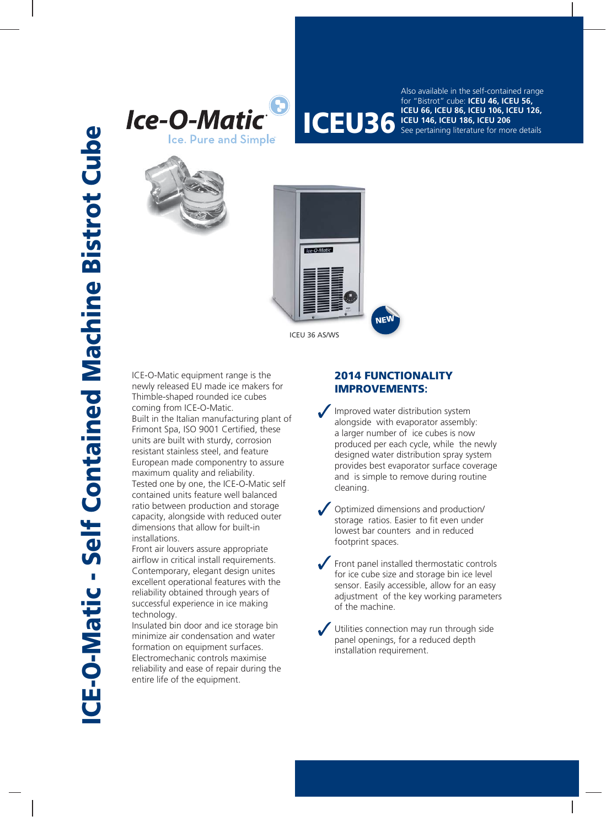



**ICEU 56, ICEU 86, ICEU 106, ICEU 126,**<br> **ICEU 36, ICEU 186, ICEU 106, ICEU 1206**<br>
See pertaining literature for more details Also available in the self-contained range for "Bistrot" cube: **ICEU 46, ICEU 56, ICEU 146, ICEU 186, ICEU 206** See pertaining literature for more details





ICE-O-Matic equipment range is the newly released EU made ice makers for Thimble-shaped rounded ice cubes coming from ICE-O-Matic. Built in the Italian manufacturing plant of Frimont Spa, ISO 9001 Certified, these units are built with sturdy, corrosion resistant stainless steel, and feature European made componentry to assure maximum quality and reliability. Tested one by one, the ICE-O-Matic self contained units feature well balanced ratio between production and storage capacity, alongside with reduced outer dimensions that allow for built-in installations.

Front air louvers assure appropriate airflow in critical install requirements. Contemporary, elegant design unites excellent operational features with the reliability obtained through years of successful experience in ice making technology.

Insulated bin door and ice storage bin minimize air condensation and water formation on equipment surfaces. Electromechanic controls maximise reliability and ease of repair during the entire life of the equipment.

## **2014 FUNCTIONALITY IMPROVEMENTS:**

Improved water distribution system alongside with evaporator assembly: a larger number of ice cubes is now produced per each cycle, while the newly designed water distribution spray system provides best evaporator surface coverage and is simple to remove during routine cleaning.

Optimized dimensions and production/ storage ratios. Easier to fit even under lowest bar counters and in reduced footprint spaces.

Front panel installed thermostatic controls for ice cube size and storage bin ice level sensor. Easily accessible, allow for an easy adjustment of the key working parameters of the machine.

Utilities connection may run through side panel openings, for a reduced depth installation requirement.